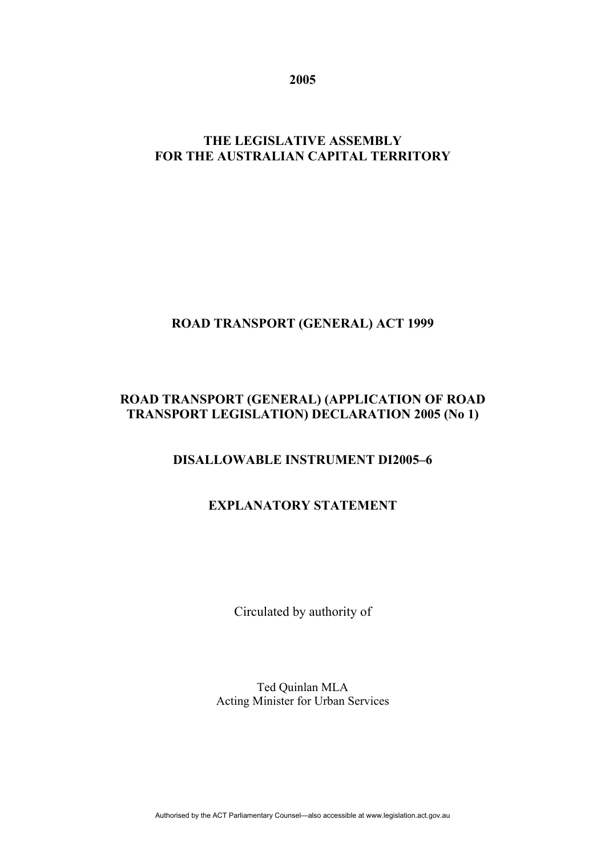**2005** 

## **THE LEGISLATIVE ASSEMBLY FOR THE AUSTRALIAN CAPITAL TERRITORY**

## **ROAD TRANSPORT (GENERAL) ACT 1999**

## **ROAD TRANSPORT (GENERAL) (APPLICATION OF ROAD TRANSPORT LEGISLATION) DECLARATION 2005 (No 1)**

# **DISALLOWABLE INSTRUMENT DI2005–6**

# **EXPLANATORY STATEMENT**

Circulated by authority of

Ted Quinlan MLA Acting Minister for Urban Services